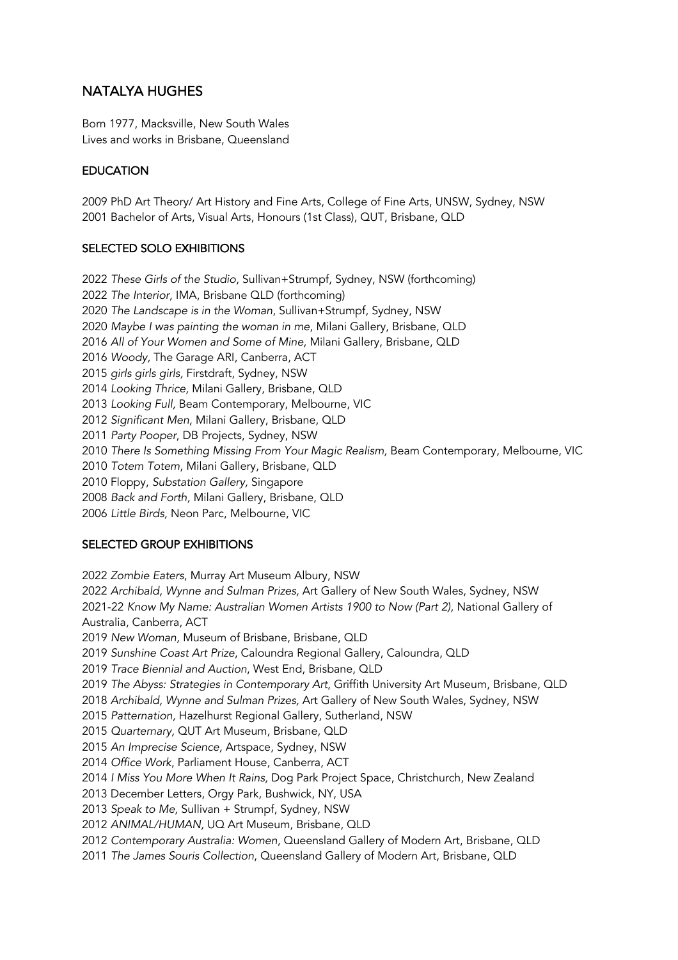# NATALYA HUGHES

Born 1977, Macksville, New South Wales Lives and works in Brisbane, Queensland

## **EDUCATION**

2009 PhD Art Theory/ Art History and Fine Arts, College of Fine Arts, UNSW, Sydney, NSW 2001 Bachelor of Arts, Visual Arts, Honours (1st Class), QUT, Brisbane, QLD

## SELECTED SOLO EXHIBITIONS

*These Girls of the Studio*, Sullivan+Strumpf, Sydney, NSW (forthcoming) *The Interior*, IMA, Brisbane QLD (forthcoming) *The Landscape is in the Woman*, Sullivan+Strumpf, Sydney, NSW *Maybe I was painting the woman in me*, Milani Gallery, Brisbane, QLD *All of Your Women and Some of Mine*, Milani Gallery, Brisbane, QLD *Woody,* The Garage ARI, Canberra, ACT *girls girls girls,* Firstdraft, Sydney, NSW *Looking Thrice,* Milani Gallery, Brisbane, QLD *Looking Full,* Beam Contemporary, Melbourne, VIC *Significant Men*, Milani Gallery, Brisbane, QLD *Party Pooper*, DB Projects, Sydney, NSW *There Is Something Missing From Your Magic Realism,* Beam Contemporary, Melbourne, VIC *Totem Totem*, Milani Gallery, Brisbane, QLD 2010 Floppy, *Substation Gallery,* Singapore *Back and Forth,* Milani Gallery, Brisbane, QLD *Little Birds,* Neon Parc, Melbourne, VIC

#### SELECTED GROUP EXHIBITIONS

*Zombie Eaters*, Murray Art Museum Albury, NSW *Archibald, Wynne and Sulman Prizes,* Art Gallery of New South Wales, Sydney, NSW 2021-22 *Know My Name: Australian Women Artists 1900 to Now (Part 2)*, National Gallery of Australia, Canberra, ACT *New Woman,* Museum of Brisbane, Brisbane, QLD *Sunshine Coast Art Prize*, Caloundra Regional Gallery, Caloundra, QLD *Trace Biennial and Auction*, West End, Brisbane, QLD *The Abyss: Strategies in Contemporary Art*, Griffith University Art Museum, Brisbane, QLD *Archibald, Wynne and Sulman Prizes,* Art Gallery of New South Wales, Sydney, NSW *Patternation,* Hazelhurst Regional Gallery, Sutherland, NSW *Quarternary,* QUT Art Museum, Brisbane, QLD *An Imprecise Science,* Artspace, Sydney, NSW *Office Work*, Parliament House, Canberra, ACT *I Miss You More When It Rains,* Dog Park Project Space, Christchurch, New Zealand 2013 December Letters, Orgy Park, Bushwick, NY, USA *Speak to Me,* Sullivan + Strumpf, Sydney, NSW *ANIMAL/HUMAN,* UQ Art Museum, Brisbane, QLD *Contemporary Australia: Women*, Queensland Gallery of Modern Art, Brisbane, QLD *The James Souris Collection*, Queensland Gallery of Modern Art, Brisbane, QLD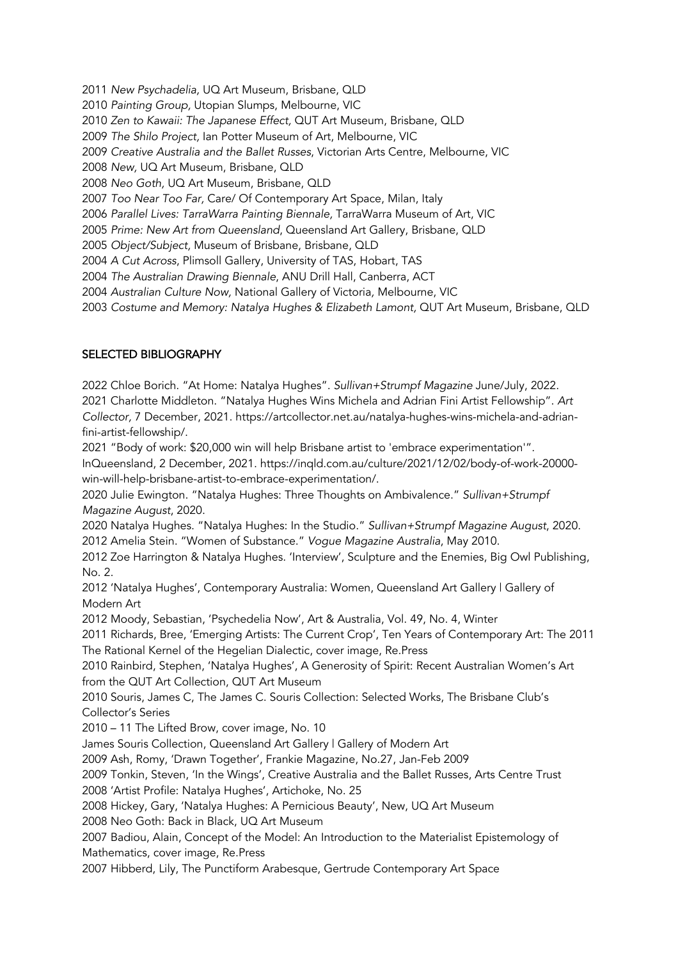*New Psychadelia,* UQ Art Museum, Brisbane, QLD *Painting Group,* Utopian Slumps, Melbourne, VIC *Zen to Kawaii: The Japanese Effect,* QUT Art Museum, Brisbane, QLD *The Shilo Project,* Ian Potter Museum of Art, Melbourne, VIC *Creative Australia and the Ballet Russes*, Victorian Arts Centre, Melbourne, VIC *New,* UQ Art Museum, Brisbane, QLD *Neo Goth,* UQ Art Museum, Brisbane, QLD *Too Near Too Far,* Care/ Of Contemporary Art Space, Milan, Italy *Parallel Lives: TarraWarra Painting Biennale,* TarraWarra Museum of Art, VIC *Prime: New Art from Queensland*, Queensland Art Gallery, Brisbane, QLD *Object/Subject,* Museum of Brisbane, Brisbane, QLD *A Cut Across*, Plimsoll Gallery, University of TAS, Hobart, TAS *The Australian Drawing Biennale*, ANU Drill Hall, Canberra, ACT *Australian Culture Now,* National Gallery of Victoria*,* Melbourne, VIC *Costume and Memory: Natalya Hughes & Elizabeth Lamont,* QUT Art Museum, Brisbane, QLD

#### SELECTED BIBLIOGRAPHY

2022 Chloe Borich. "At Home: Natalya Hughes". *Sullivan+Strumpf Magazine* June/July, 2022. 2021 Charlotte Middleton. "Natalya Hughes Wins Michela and Adrian Fini Artist Fellowship". *Art Collector,* 7 December, 2021. https://artcollector.net.au/natalya-hughes-wins-michela-and-adrianfini-artist-fellowship/. 2021 "Body of work: \$20,000 win will help Brisbane artist to 'embrace experimentation'". InQueensland, 2 December, 2021. https://inqld.com.au/culture/2021/12/02/body-of-work-20000 win-will-help-brisbane-artist-to-embrace-experimentation/. 2020 Julie Ewington. "Natalya Hughes: Three Thoughts on Ambivalence." *Sullivan+Strumpf Magazine August*, 2020. 2020 Natalya Hughes. "Natalya Hughes: In the Studio." *Sullivan+Strumpf Magazine August*, 2020. 2012 Amelia Stein. "Women of Substance." *Vogue Magazine Australia*, May 2010. 2012 Zoe Harrington & Natalya Hughes. 'Interview', Sculpture and the Enemies, Big Owl Publishing, No. 2. 2012 'Natalya Hughes', Contemporary Australia: Women, Queensland Art Gallery | Gallery of Modern Art 2012 Moody, Sebastian, 'Psychedelia Now', Art & Australia, Vol. 49, No. 4, Winter 2011 Richards, Bree, 'Emerging Artists: The Current Crop', Ten Years of Contemporary Art: The 2011 The Rational Kernel of the Hegelian Dialectic, cover image, Re.Press 2010 Rainbird, Stephen, 'Natalya Hughes', A Generosity of Spirit: Recent Australian Women's Art from the QUT Art Collection, QUT Art Museum 2010 Souris, James C, The James C. Souris Collection: Selected Works, The Brisbane Club's Collector's Series 2010 – 11 The Lifted Brow, cover image, No. 10 James Souris Collection, Queensland Art Gallery | Gallery of Modern Art 2009 Ash, Romy, 'Drawn Together', Frankie Magazine, No.27, Jan-Feb 2009 2009 Tonkin, Steven, 'In the Wings', Creative Australia and the Ballet Russes, Arts Centre Trust 2008 'Artist Profile: Natalya Hughes', Artichoke, No. 25 2008 Hickey, Gary, 'Natalya Hughes: A Pernicious Beauty', New, UQ Art Museum 2008 Neo Goth: Back in Black, UQ Art Museum 2007 Badiou, Alain, Concept of the Model: An Introduction to the Materialist Epistemology of Mathematics, cover image, Re.Press 2007 Hibberd, Lily, The Punctiform Arabesque, Gertrude Contemporary Art Space